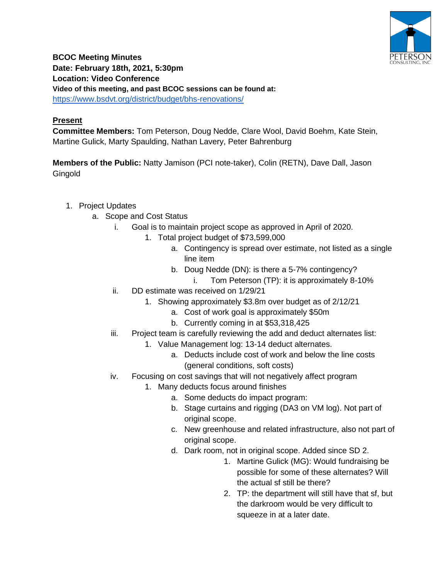

**BCOC Meeting Minutes Date: February 18th, 2021, 5:30pm Location: Video Conference Video of this meeting, and past BCOC sessions can be found at:** <https://www.bsdvt.org/district/budget/bhs-renovations/>

## **Present**

**Committee Members:** Tom Peterson, Doug Nedde, Clare Wool, David Boehm, Kate Stein, Martine Gulick, Marty Spaulding, Nathan Lavery, Peter Bahrenburg

**Members of the Public:** Natty Jamison (PCI note-taker), Colin (RETN), Dave Dall, Jason **Gingold** 

- 1. Project Updates
	- a. Scope and Cost Status
		- i. Goal is to maintain project scope as approved in April of 2020.
			- 1. Total project budget of \$73,599,000
				- a. Contingency is spread over estimate, not listed as a single line item
				- b. Doug Nedde (DN): is there a 5-7% contingency?
					- i. Tom Peterson (TP): it is approximately 8-10%
		- ii. DD estimate was received on 1/29/21
			- 1. Showing approximately \$3.8m over budget as of 2/12/21
				- a. Cost of work goal is approximately \$50m
					- b. Currently coming in at \$53,318,425
		- iii. Project team is carefully reviewing the add and deduct alternates list:
			- 1. Value Management log: 13-14 deduct alternates.
				- a. Deducts include cost of work and below the line costs (general conditions, soft costs)
		- iv. Focusing on cost savings that will not negatively affect program
			- 1. Many deducts focus around finishes
				- a. Some deducts do impact program:
				- b. Stage curtains and rigging (DA3 on VM log). Not part of original scope.
				- c. New greenhouse and related infrastructure, also not part of original scope.
				- d. Dark room, not in original scope. Added since SD 2.
					- 1. Martine Gulick (MG): Would fundraising be possible for some of these alternates? Will the actual sf still be there?
					- 2. TP: the department will still have that sf, but the darkroom would be very difficult to squeeze in at a later date.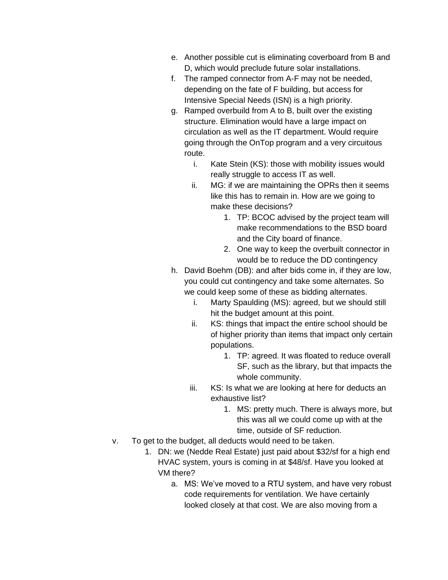- e. Another possible cut is eliminating coverboard from B and D, which would preclude future solar installations.
- f. The ramped connector from A-F may not be needed, depending on the fate of F building, but access for Intensive Special Needs (ISN) is a high priority.
- g. Ramped overbuild from A to B, built over the existing structure. Elimination would have a large impact on circulation as well as the IT department. Would require going through the OnTop program and a very circuitous route.
	- i. Kate Stein (KS): those with mobility issues would really struggle to access IT as well.
	- ii. MG: if we are maintaining the OPRs then it seems like this has to remain in. How are we going to make these decisions?
		- 1. TP: BCOC advised by the project team will make recommendations to the BSD board and the City board of finance.
		- 2. One way to keep the overbuilt connector in would be to reduce the DD contingency
- h. David Boehm (DB): and after bids come in, if they are low, you could cut contingency and take some alternates. So we could keep some of these as bidding alternates.
	- i. Marty Spaulding (MS): agreed, but we should still hit the budget amount at this point.
	- ii. KS: things that impact the entire school should be of higher priority than items that impact only certain populations.
		- 1. TP: agreed. It was floated to reduce overall SF, such as the library, but that impacts the whole community.
	- iii. KS: Is what we are looking at here for deducts an exhaustive list?
		- 1. MS: pretty much. There is always more, but this was all we could come up with at the time, outside of SF reduction.
- v. To get to the budget, all deducts would need to be taken.
	- 1. DN: we (Nedde Real Estate) just paid about \$32/sf for a high end HVAC system, yours is coming in at \$48/sf. Have you looked at VM there?
		- a. MS: We've moved to a RTU system, and have very robust code requirements for ventilation. We have certainly looked closely at that cost. We are also moving from a